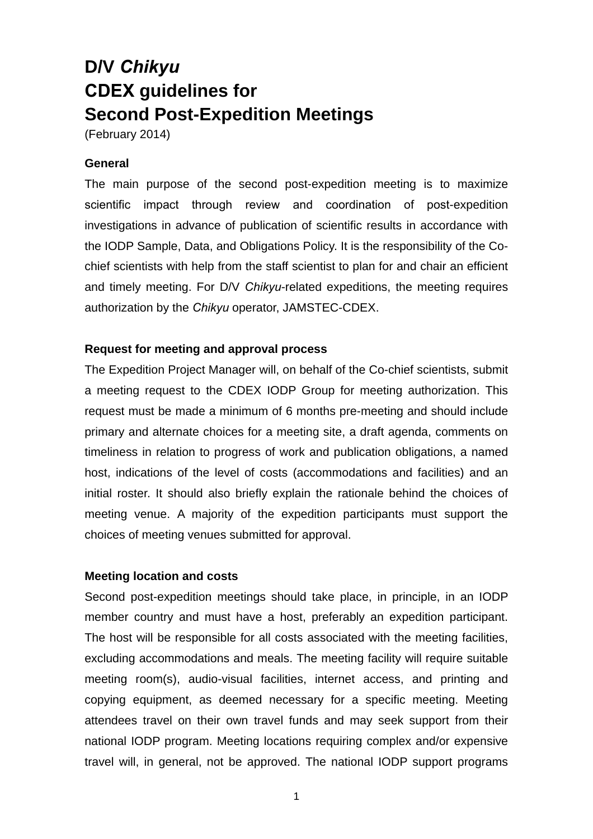# **D/V** *Chikyu* **CDEX guidelines for Second Post-Expedition Meetings**

(February 2014)

### **General**

The main purpose of the second post-expedition meeting is to maximize scientific impact through review and coordination of post-expedition investigations in advance of publication of scientific results in accordance with the IODP Sample, Data, and Obligations Policy. It is the responsibility of the Cochief scientists with help from the staff scientist to plan for and chair an efficient and timely meeting. For D/V *Chikyu*-related expeditions, the meeting requires authorization by the *Chikyu* operator, JAMSTEC-CDEX.

## **Request for meeting and approval process**

The Expedition Project Manager will, on behalf of the Co-chief scientists, submit a meeting request to the CDEX IODP Group for meeting authorization. This request must be made a minimum of 6 months pre-meeting and should include primary and alternate choices for a meeting site, a draft agenda, comments on timeliness in relation to progress of work and publication obligations, a named host, indications of the level of costs (accommodations and facilities) and an initial roster. It should also briefly explain the rationale behind the choices of meeting venue. A majority of the expedition participants must support the choices of meeting venues submitted for approval.

### **Meeting location and costs**

Second post-expedition meetings should take place, in principle, in an IODP member country and must have a host, preferably an expedition participant. The host will be responsible for all costs associated with the meeting facilities, excluding accommodations and meals. The meeting facility will require suitable meeting room(s), audio-visual facilities, internet access, and printing and copying equipment, as deemed necessary for a specific meeting. Meeting attendees travel on their own travel funds and may seek support from their national IODP program. Meeting locations requiring complex and/or expensive travel will, in general, not be approved. The national IODP support programs